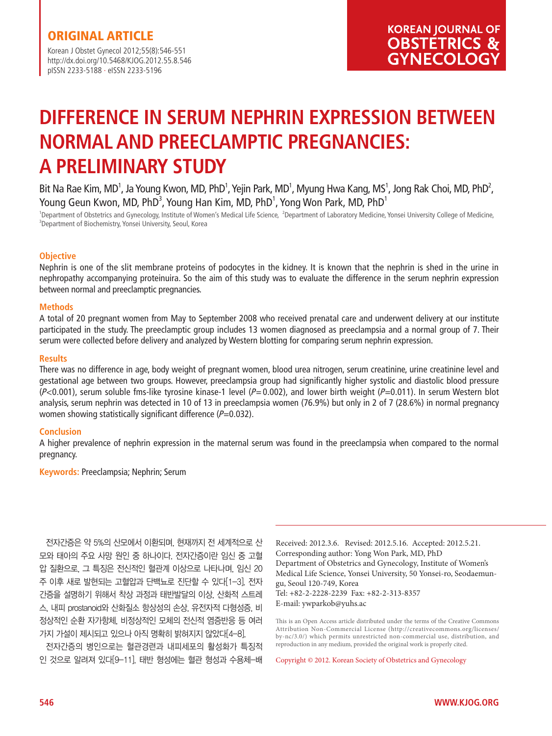Korean J Obstet Gynecol 2012;55(8):546-551 http://dx.doi.org/10.5468/KJOG.2012.55.8.546 pISSN 2233-5188 · eISSN 2233-5196

# **DIFFERENCE IN SERUM NEPHRIN EXPRESSION BETWEEN NORMAL AND PREECLAMPTIC PREGNANCIES: A PRELIMINARY STUDY**

Bit Na Rae Kim, MD<sup>1</sup>, Ja Young Kwon, MD, PhD<sup>1</sup>, Yejin Park, MD<sup>1</sup>, Myung Hwa Kang, MS<sup>1</sup>, Jong Rak Choi, MD, PhD<sup>2</sup>, Young Geun Kwon, MD, PhD $^3$ , Young Han Kim, MD, PhD $^1$ , Yong Won Park, MD, PhD $^1$ 

<sup>1</sup>Department of Obstetrics and Gynecology, Institute of Women's Medical Life Science, <sup>2</sup>Department of Laboratory Medicine, Yonsei University College of Medicine,<br><sup>3</sup>Department of Piechamistay Marcei University Socul *Kor* <sup>3</sup>Department of Biochemistry, Yonsei University, Seoul, Korea

## **Objective**

Nephrin is one of the slit membrane proteins of podocytes in the kidney. It is known that the nephrin is shed in the urine in nephropathy accompanying proteinuira. So the aim of this study was to evaluate the difference in the serum nephrin expression between normal and preeclamptic pregnancies.

#### **Methods**

A total of 20 pregnant women from May to September 2008 who received prenatal care and underwent delivery at our institute participated in the study. The preeclamptic group includes 13 women diagnosed as preeclampsia and a normal group of 7. Their serum were collected before delivery and analyzed by Western blotting for comparing serum nephrin expression.

#### **Results**

There was no difference in age, body weight of pregnant women, blood urea nitrogen, serum creatinine, urine creatinine level and gestational age between two groups. However, preeclampsia group had significantly higher systolic and diastolic blood pressure  $(P<0.001)$ , serum soluble fms-like tyrosine kinase-1 level  $(P=0.002)$ , and lower birth weight  $(P=0.011)$ . In serum Western blot analysis, serum nephrin was detected in 10 of 13 in preeclampsia women (76.9%) but only in 2 of 7 (28.6%) in normal pregnancy women showing statistically significant difference  $(P=0.032)$ .

#### **Conclusion**

A higher prevalence of nephrin expression in the maternal serum was found in the preeclampsia when compared to the normal pregnancy.

**Keywords:** Preeclampsia; Nephrin; Serum

전자간증은 약 5%의 산모에서 이환되며, 현재까지 전 세계적으로 산 모와 태아의 주요 사망 원인 중 하나이다. 전자간증이란 임신 중 고혈 압 질환으로, 그 특징은 전신적인 혈관계 이상으로 나타나며, 임신 20 주 이후 새로 발현되는 고혈압과 단백뇨로 진단할 수 있다[1-3]. 전자 간증을 설명하기 위해서 착상 과정과 태반발달의 이상, 산화적 스트레 스, 내피 prostanoid와 산화질소 항상성의 손상, 유전자적 다형성증, 비 정상적인 순환 자가항체, 비정상적인 모체의 전신적 염증반응 등 여러 가지 가설이 제시되고 있으나 아직 명확히 밝혀지지 않았다[4-8].

전자간증의 병인으로는 혈관경련과 내피세포의 활성화가 특징적 인 것으로 알려져 있다[9-11]. 태반 형성에는 혈관 형성과 수용체-배

Received: 2012.3.6. Revised: 2012.5.16. Accepted: 2012.5.21. Corresponding author: Yong Won Park, MD, PhD Department of Obstetrics and Gynecology, Institute of Women's Medical Life Science, Yonsei University, 50 Yonsei-ro, Seodaemungu, Seoul 120-749, Korea Tel: +82-2-2228-2239 Fax: +82-2-313-8357 E-mail: ywparkob@yuhs.ac

This is an Open Access article distributed under the terms of the Creative Commons Attribution Non-Commercial License (http://creativecommons.org/licenses/ by-nc/3.0/) which permits unrestricted non-commercial use, distribution, and reproduction in any medium, provided the original work is properly cited.

Copyright © 2012. Korean Society of Obstetrics and Gynecology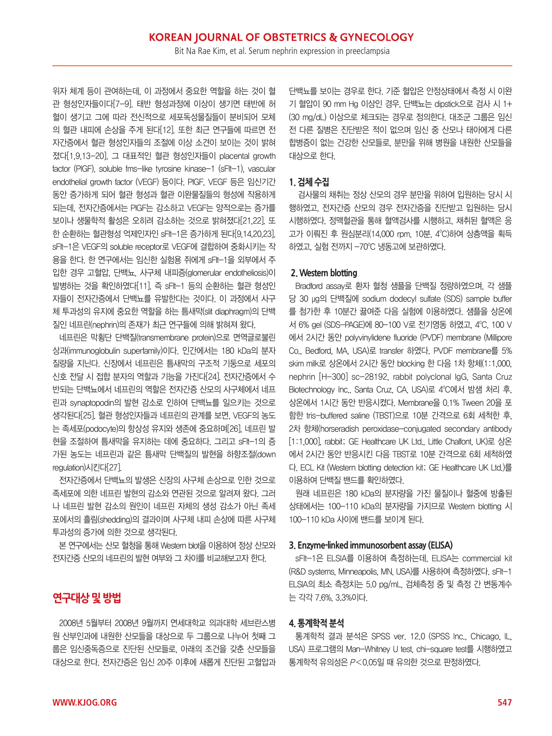위자 체계 등이 관여하는데, 이 과정에서 중요한 역할을 하는 것이 혈 관 형성인자들이다[7-9]. 태반 형성과정에 이상이 생기면 태반에 허 혈이 생기고 그에 따라 전신적으로 세포독성물질들이 분비되어 모체 의 혈관 내피에 손상을 주게 된다[12]. 또한 최근 연구들에 따르면 전 자간증에서 혈관 형성인자들의 조절에 이상 소견이 보이는 것이 밝혀 졌다[1,9,13-20]. 그 대표적인 혈관 형성인자들이 placental growth factor (PlGF), soluble fms-like tyrosine kinase-1 (sFlt-1), vascular endothelial growth factor (VEGF) 등이다. PlGF, VEGF 등은 임신기간 동안 증가하게 되어 혈관 형성과 혈관 이완물질들의 형성에 작용하게 되는데, 전자간증에서는 PlGF는 감소하고 VEGF는 양적으로는 증가를 보이나 생물학적 활성은 오히려 감소하는 것으로 밝혀졌다[21,22]. 또 한 순환하는 혈관형성 억제인자인 sFlt-1은 증가하게 된다[9,14,20,23]. sFlt-1은 VEGF의 soluble receptor로 VEGF에 결합하여 중화시키는 작 용을 한다. 한 연구에서는 임신한 실험용 쥐에게 sFlt-1을 외부에서 주 입한 경우 고혈압, 단백뇨, 사구체 내피증(glomerular endotheliosis)이 발병하는 것을 확인하였다[11]. 즉 sFlt-1 등의 순환하는 혈관 형성인 자들이 전자간증에서 단백뇨를 유발한다는 것이다. 이 과정에서 사구 체 투과성의 유지에 중요한 역할을 하는 틈새막(slit diaphragm)의 단백 질인 네프린(nephrin)의 존재가 최근 연구들에 의해 밝혀져 왔다.

네프린은 막횡단 단백질(transmembrane protein)으로 면역글로불린 상과(immunoglobulin superfamily)이다. 인간에서는 180 kDa의 분자 질량을 지닌다. 신장에서 네프린은 틈새막의 구조적 기둥으로 세포의 신호 전달 시 접합 분자의 역할과 기능을 가진다[24]. 전자간증에서 수 반되는 단백뇨에서 네프린의 역할은 전자간증 산모의 사구체에서 네프 린과 synaptopodin의 발현 감소로 인하여 단백뇨를 일으키는 것으로 생각된다[25]. 혈관 형성인자들과 네프린의 관계를 보면, VEGF의 농도 는 족세포(podocyte)의 항상성 유지와 생존에 중요하며[26], 네프린 발 현을 조절하여 틈새막을 유지하는 데에 중요하다. 그리고 sFlt-1의 증 가된 농도는 네프린과 같은 틈새막 단백질의 발현을 하향조절(down regulation)시킨다[27].

전자간증에서 단백뇨의 발생은 신장의 사구체 손상으로 인한 것으로 족세포에 의한 네프린 발현의 감소와 연관된 것으로 알려져 왔다. 그러 나 네프린 발현 감소의 원인이 네프린 자체의 생성 감소가 아닌 족세 포에서의 흘림(shedding)의 결과이며 사구체 내피 손상에 따른 사구체 투과성의 증가에 의한 것으로 생각된다.

본 연구에서는 산모 혈청을 통해 Western blot을 이용하여 정상 산모와 전자간증 산모의 네프린의 발현 여부와 그 차이를 비교해보고자 한다.

# **연구대상 및 방법**

2008년 5월부터 2008년 9월까지 연세대학교 의과대학 세브란스병 원 산부인과에 내원한 산모들을 대상으로 두 그룹으로 나누어 첫째 그 룹은 임신중독증으로 진단된 산모들로, 아래의 조건을 갖춘 산모들을 대상으로 한다. 전자간증은 임신 20주 이후에 새롭게 진단된 고혈압과 단백뇨를 보이는 경우로 한다. 기준 혈압은 안정상태에서 측정 시 이완 기 혈압이 90 mm Hg 이상인 경우, 단백뇨는 dipstick으로 검사 시 1+ (30 mg/dL) 이상으로 체크되는 경우로 정의한다. 대조군 그룹은 임신 전 다른 질병은 진단받은 적이 없으며 임신 중 산모나 태아에게 다른 합병증이 없는 건강한 산모들로, 분만을 위해 병원을 내원한 산모들을 대상으로 한다.

## **1. 검체 수집**

검사물의 채취는 정상 산모의 경우 분만을 위하여 입원하는 당시 시 행하였고, 전자간증 산모의 경우 전자간증을 진단받고 입원하는 당시 시행하였다. 정맥혈관을 통해 혈액검사를 시행하고, 채취된 혈액은 응 고가 이뤄진 후 원심분리(14,000 rpm, 10분, 4°C)하여 상층액을 획득 하였고, 실험 전까지 -70°C 냉동고에 보관하였다.

## **2. Western blotting**

Bradford assay로 환자 혈청 샘플을 단백질 정량하였으며, 각 샘플 당 30 µg의 단백질에 sodium dodecyl sulfate (SDS) sample buffer 를 첨가한 후 10분간 끓여준 다음 실험에 이용하였다. 샘플을 상온에 서 6% gel (SDS-PAGE)에 80-100 V로 전기영동 하였고, 4°C, 100 V 에서 2시간 동안 polyvinylidene fluoride (PVDF) membrane (Millipore Co., Bedford, MA, USA)로 transfer 하였다. PVDF membrane를 5% skim milk로 상온에서 2시간 동안 blocking 한 다음 1차 항체(1:1,000, nephrin [H-300] sc-28192, rabbit polyclonal IgG, Santa Cruz Biotechnology Inc., Santa Cruz, CA, USA)로 4°C에서 밤샘 처리 후, 상온에서 1시간 동안 반응시켰다. Membrane을 0.1% Tween 20을 포 함한 tris-buffered saline (TBST)으로 10분 간격으로 6회 세척한 후, 2차 항체(horseradish peroxidase-conjugated secondary antibody [1:1,000], rabbit; GE Healthcare UK Ltd., Little Chalfont, UK)로 상온 에서 2시간 동안 반응시킨 다음 TBST로 10분 간격으로 6회 세척하였 다. ECL Kit (Western blotting detection kit; GE Healthcare UK Ltd.)를 이용하여 단백질 밴드를 확인하였다.

원래 네프린은 180 kDa의 분자량을 가진 물질이나 혈중에 방출된 상태에서는 100-110 kDa의 분자량을 가지므로 Western blotting 시 100-110 kDa 사이에 밴드를 보이게 된다.

## **3. Enzyme-linked immunosorbent assay (ELISA)**

sFlt-1은 ELSIA를 이용하여 측정하는데, ELISA는 commercial kit (R&D systems, Minneapolis, MN, USA)를 사용하여 측정하였다. sFlt-1 ELSIA의 최소 측정치는 5.0 pg/mL, 검체측정 중 및 측정 간 변동계수 는 각각 7.6%, 3.3%이다.

## **4. 통계학적 분석**

통계학적 결과 분석은 SPSS ver. 12.0 (SPSS Inc., Chicago, IL, USA) 프로그램의 Man-Whitney U test, chi-square test를 시행하였고 통계학적 유의성은 P<0.05일 때 유의한 것으로 판정하였다.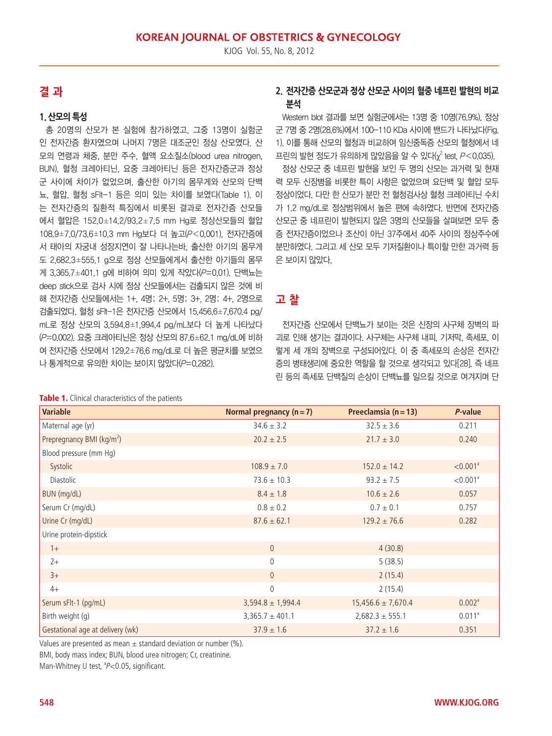# **결 과**

## **1. 산모의 특성**

총 20명의 산모가 본 실험에 참가하였고, 그중 13명이 실험군 인 전자간증 환자였으며 나머지 7명은 대조군인 정상 산모였다. 산 모의 연령과 체중, 분만 주수, 혈액 요소질소(blood urea nitrogen, BUN), 혈청 크레아티닌, 요중 크레아티닌 등은 전자간증군과 정상 군 사이에 차이가 없었으며, 출산한 아기의 몸무게와 산모의 단백 뇨, 혈압, 혈청 sFlt-1 등은 의미 있는 차이를 보였다(Table 1). 이 는 전자간증의 질환적 특징에서 비롯된 결과로 전자간증 산모들 에서 혈압은 152.0±14.2/93.2±7.5 mm Hg로 정상산모들의 혈압 108.9±7.0/73.6±10.3 mm Hg보다 더 높고(P<0.001), 전자간증에 서 태아의 자궁내 성장지연이 잘 나타나는바, 출산한 아기의 몸무게 도 2,682.3±555.1 g으로 정상 산모들에게서 출산한 아기들의 몸무 게 3,365.7±401.1 g에 비하여 의미 있게 작았다 $(P=0.01)$ . 단백뇨는 deep stick으로 검사 시에 정상 산모들에서는 검출되지 않은 것에 비 해 전자간증 산모들에서는 1+, 4명; 2+, 5명; 3+, 2명; 4+, 2명으로 검출되었다. 혈청 sFlt-1은 전자간증 산모에서 15,456.6±7,670.4 pg/ mL로 정상 산모의 3,594.8±1,994.4 pg/mL보다 더 높게 나타났다 (P=0.002). 요중 크레아티닌은 정상 산모의 87.6±62.1 mg/dL에 비하 여 전자간증 산모에서 129.2±76.6 mg/dL로 더 높은 평균치를 보였으 나 통계적으로 유의한 차이는 보이지 않았다(P=0.282).

#### Table 1. Clinical characteristics of the patients

# **2. 전자간증 산모군과 정상 산모군 사이의 혈중 네프린 발현의 비교 분석**

Western blot 결과를 보면 실험군에서는 13명 중 10명(76.9%), 정상 군 7명 중 2명(28.6%)에서 100-110 KDa 사이에 밴드가 나타났다(Fig. 1). 이를 통해 산모의 혈청과 비교하여 임신중독증 산모의 혈청에서 네 프린의 발현 정도가 유의하게 많았음을 알 수 있다(χ² test, P<0.035).

정상 산모군 중 네프린 발현을 보인 두 명의 산모는 과거력 및 현재 력 모두 신장병을 비롯한 특이 사항은 없었으며 요단백 및 혈압 모두 정상이었다. 다만 한 산모가 분만 전 혈청검사상 혈청 크레아티닌 수치 가 1.2 mg/dL로 정상범위에서 높은 편에 속하였다. 반면에 전자간증 산모군 중 네프린이 발현되지 않은 3명의 산모들을 살펴보면 모두 중 증 전자간증이었으나 조산이 아닌 37주에서 40주 사이의 정상주수에 분만하였다. 그리고 세 산모 모두 기저질환이나 특이할 만한 과거력 등 은 보이지 않았다.

# **고 찰**

전자간증 산모에서 단백뇨가 보이는 것은 신장의 사구체 장벽의 파 괴로 인해 생기는 결과이다. 사구체는 사구체 내피, 기저막, 족세포, 이 렇게 세 개의 장벽으로 구성되어있다. 이 중 족세포의 손상은 전자간 증의 병태생리에 중요한 역할을 할 것으로 생각되고 있다[28]. 즉 네프 린 등의 족세포 단백질의 손상이 단백뇨를 일으킬 것으로 여겨지며 단

| <b>Table 1.</b> Chilled characteristics of the patients |                          |                          |                      |
|---------------------------------------------------------|--------------------------|--------------------------|----------------------|
| <b>Variable</b>                                         | Normal pregnancy $(n=7)$ | Preeclamsia ( $n = 13$ ) | P-value              |
| Maternal age (yr)                                       | $34.6 \pm 3.2$           | $32.5 \pm 3.6$           | 0.211                |
| Prepregnancy BMI ( $kg/m2$ )                            | $20.2 \pm 2.5$           | $21.7 \pm 3.0$           | 0.240                |
| Blood pressure (mm Hg)                                  |                          |                          |                      |
| Systolic                                                | $108.9 \pm 7.0$          | $152.0 \pm 14.2$         | < 0.001 <sup>a</sup> |
| Diastolic                                               | $73.6 \pm 10.3$          | $93.2 \pm 7.5$           | < 0.001 <sup>a</sup> |
| BUN (mg/dL)                                             | $8.4 \pm 1.8$            | $10.6 \pm 2.6$           | 0.057                |
| Serum Cr (mg/dL)                                        | $0.8 \pm 0.2$            | $0.7 \pm 0.1$            | 0.757                |
| Urine Cr (mg/dL)                                        | $87.6 \pm 62.1$          | $129.2 \pm 76.6$         | 0.282                |
| Urine protein-dipstick                                  |                          |                          |                      |
| $1+$                                                    | $\overline{0}$           | 4(30.8)                  |                      |
| $2+$                                                    | $\mathbf 0$              | 5(38.5)                  |                      |
| $3+$                                                    | $\overline{0}$           | 2(15.4)                  |                      |
| $4+$                                                    | $\mathbf 0$              | 2(15.4)                  |                      |
| Serum sFlt-1 (pg/mL)                                    | $3,594.8 \pm 1,994.4$    | $15,456.6 \pm 7,670.4$   | 0.002 <sup>a</sup>   |
| Birth weight (g)                                        | $3,365.7 \pm 401.1$      | $2,682.3 \pm 555.1$      | $0.011^a$            |
| Gestational age at delivery (wk)                        | $37.9 \pm 1.6$           | $37.2 \pm 1.6$           | 0.351                |

Values are presented as mean  $\pm$  standard deviation or number (%). BMI, body mass index; BUN, blood urea nitrogen; Cr, creatinine.

Man-Whitney U test, <sup>a</sup>P<0.05, significant.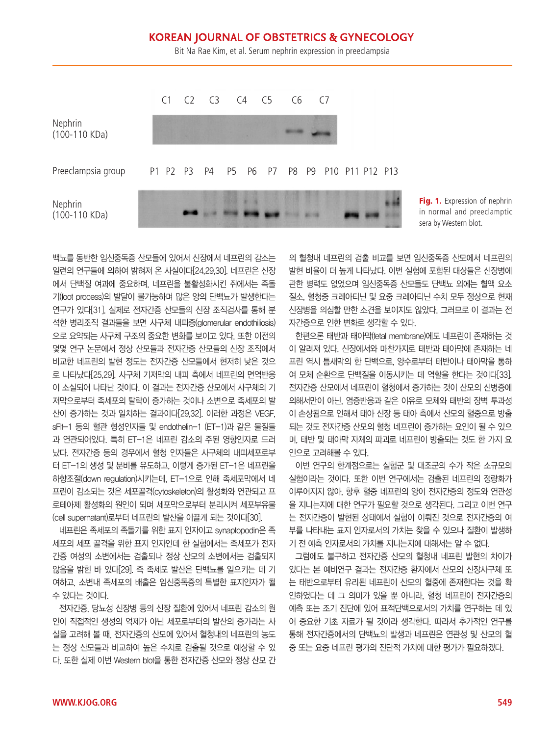# **KOREAN JOURNAL OF OBSTETRICS & GYNECOLOGY**

Bit Na Rae Kim, et al. Serum nephrin expression in preeclampsia





백뇨를 동반한 임신중독증 산모들에 있어서 신장에서 네프린의 감소는 일련의 연구들에 의하여 밝혀져 온 사실이다[24,29,30]. 네프린은 신장 에서 단백질 여과에 중요하며, 네프린을 불활성화시킨 쥐에서는 족돌 기(foot process)의 발달이 불가능하며 많은 양의 단백뇨가 발생한다는 연구가 있다[31]. 실제로 전자간증 산모들의 신장 조직검사를 통해 분 석한 병리조직 결과들을 보면 사구체 내피증(glomerular endothiliosis) 으로 요약되는 사구체 구조의 중요한 변화를 보이고 있다. 또한 이전의 몇몇 연구 논문에서 정상 산모들과 전자간증 산모들의 신장 조직에서 비교한 네프린의 발현 정도는 전자간증 산모들에서 현저히 낮은 것으 로 나타났다[25,29]. 사구체 기저막의 내피 측에서 네프린의 면역반응 이 소실되어 나타난 것이다. 이 결과는 전자간증 산모에서 사구체의 기 저막으로부터 족세포의 탈락이 증가하는 것이나 소변으로 족세포의 발 산이 증가하는 것과 일치하는 결과이다[29,32]. 이러한 과정은 VEGF, sFlt-1 등의 혈관 형성인자들 및 endothelin-1 (ET-1)과 같은 물질들 과 연관되어있다. 특히 ET-1은 네프린 감소의 주된 영향인자로 드러 났다. 전자간증 등의 경우에서 혈청 인자들은 사구체의 내피세포로부 터 ET-1의 생성 및 분비를 유도하고, 이렇게 증가된 ET-1은 네프린을 하향조절(down regulation)시키는데, ET-1으로 인해 족세포막에서 네 프린이 감소되는 것은 세포골격(cytoskeleton)의 활성화와 연관되고 프 로테아제 활성화의 원인이 되며 세포막으로부터 분리시켜 세포부유물 (cell supernatant)로부터 네프린의 발산을 이끌게 되는 것이다[30].

네프린은 족세포의 족돌기를 위한 표지 인자이고 synaptopodin은 족 세포의 세포 골격을 위한 표지 인자인데 한 실험에서는 족세포가 전자 간증 여성의 소변에서는 검출되나 정상 산모의 소변에서는 검출되지 않음을 밝힌 바 있다[29]. 즉 족세포 발산은 단백뇨를 일으키는 데 기 여하고, 소변내 족세포의 배출은 임신중독증의 특별한 표지인자가 될 수 있다는 것이다.

전자간증, 당뇨성 신장병 등의 신장 질환에 있어서 네프린 감소의 원 인이 직접적인 생성의 억제가 아닌 세포로부터의 발산의 증가라는 사 실을 고려해 볼 때, 전자간증의 산모에 있어서 혈청내의 네프린의 농도 는 정상 산모들과 비교하여 높은 수치로 검출될 것으로 예상할 수 있 다. 또한 실제 이번 Western blot을 통한 전자간증 산모와 정상 산모 간 의 혈청내 네프린의 검출 비교를 보면 임신중독증 산모에서 네프린의 발현 비율이 더 높게 나타났다. 이번 실험에 포함된 대상들은 신장병에 관한 병력도 없었으며 임신중독증 산모들도 단백뇨 외에는 혈액 요소 질소, 혈청중 크레아티닌 및 요중 크레아티닌 수치 모두 정상으로 현재 신장병을 의심할 만한 소견을 보이지도 않았다. 그러므로 이 결과는 전 자간증으로 인한 변화로 생각할 수 있다.

한편으론 태반과 태아막(fetal membrane)에도 네프린이 존재하는 것 이 알려져 있다. 신장에서와 마찬가지로 태반과 태아막에 존재하는 네 프린 역시 틈새막의 한 단백으로, 양수로부터 태반이나 태아막을 통하 여 모체 순환으로 단백질을 이동시키는 데 역할을 한다는 것이다[33]. 전자간증 산모에서 네프린이 혈청에서 증가하는 것이 산모의 신병증에 의해서만이 아닌, 염증반응과 같은 이유로 모체와 태반의 장벽 투과성 이 손상됨으로 인해서 태아 신장 등 태아 측에서 산모의 혈중으로 방출 되는 것도 전자간증 산모의 혈청 네프린이 증가하는 요인이 될 수 있으 며, 태반 및 태아막 자체의 파괴로 네프린이 방출되는 것도 한 가지 요 인으로 고려해볼 수 있다.

이번 연구의 한계점으로는 실험군 및 대조군의 수가 작은 소규모의 실험이라는 것이다. 또한 이번 연구에서는 검출된 네프린의 정량화가 이루어지지 않아, 향후 혈중 네프린의 양이 전자간증의 정도와 연관성 을 지니는지에 대한 연구가 필요할 것으로 생각된다. 그리고 이번 연구 는 전자간증이 발현된 상태에서 실험이 이뤄진 것으로 전자간증의 여 부를 나타내는 표지 인자로서의 가치는 찾을 수 있으나 질환이 발생하 기 전 예측 인자로서의 가치를 지니는지에 대해서는 알 수 없다.

그럼에도 불구하고 전자간증 산모의 혈청내 네프린 발현의 차이가 있다는 본 예비연구 결과는 전자간증 환자에서 산모의 신장사구체 또 는 태반으로부터 유리된 네프린이 산모의 혈중에 존재한다는 것을 확 인하였다는 데 그 의미가 있을 뿐 아니라, 혈청 네프린이 전자간증의 예측 또는 조기 진단에 있어 표적단백으로서의 가치를 연구하는 데 있 어 중요한 기초 자료가 될 것이라 생각한다. 따라서 추가적인 연구를 통해 전자간증에서의 단백뇨의 발생과 네프린은 연관성 및 산모의 혈 중 또는 요중 네프린 평가의 진단적 가치에 대한 평가가 필요하겠다.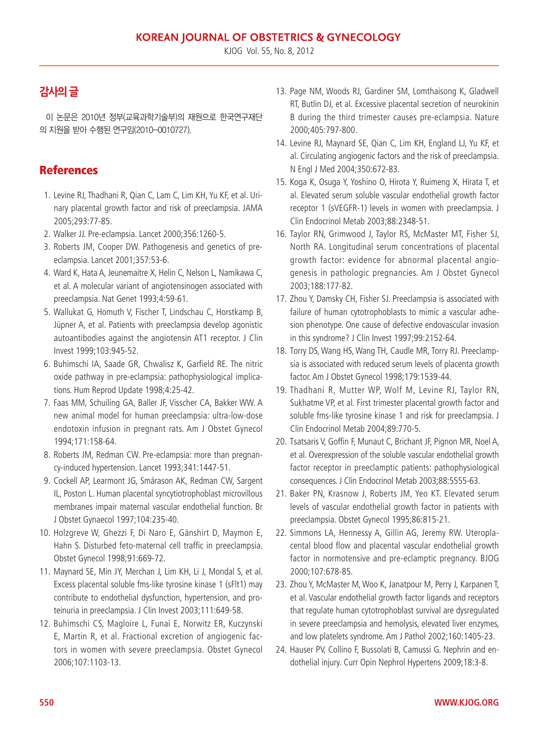KJOG Vol. 55, No. 8, 2012

# **감사의 글**

이 논문은 2010년 정부(교육과학기술부)의 재원으로 한국연구재단 의 지원을 받아 수행된 연구임(2010-0010727).

# **References**

- 1. Levine RJ, Thadhani R, Qian C, Lam C, Lim KH, Yu KF, et al. Urinary placental growth factor and risk of preeclampsia. JAMA 2005;293:77-85.
- 2. Walker JJ. Pre-eclampsia. Lancet 2000;356:1260-5.
- 3. Roberts JM, Cooper DW. Pathogenesis and genetics of preeclampsia. Lancet 2001;357:53-6.
- 4. Ward K, Hata A, Jeunemaitre X, Helin C, Nelson L, Namikawa C, et al. A molecular variant of angiotensinogen associated with preeclampsia. Nat Genet 1993;4:59-61.
- 5. Wallukat G, Homuth V, Fischer T, Lindschau C, Horstkamp B, Jüpner A, et al. Patients with preeclampsia develop agonistic autoantibodies against the angiotensin AT1 receptor. J Clin Invest 1999;103:945-52.
- 6. Buhimschi IA, Saade GR, Chwalisz K, Garfield RE. The nitric oxide pathway in pre-eclampsia: pathophysiological implications. Hum Reprod Update 1998;4:25-42.
- 7. Faas MM, Schuiling GA, Baller JF, Visscher CA, Bakker WW. A new animal model for human preeclampsia: ultra-low-dose endotoxin infusion in pregnant rats. Am J Obstet Gynecol 1994;171:158-64.
- 8. Roberts JM, Redman CW. Pre-eclampsia: more than pregnancy-induced hypertension. Lancet 1993;341:1447-51.
- 9. Cockell AP, Learmont JG, Smárason AK, Redman CW, Sargent IL, Poston L. Human placental syncytiotrophoblast microvillous membranes impair maternal vascular endothelial function. Br J Obstet Gynaecol 1997;104:235-40.
- 10. Holzgreve W, Ghezzi F, Di Naro E, Gänshirt D, Maymon E, Hahn S. Disturbed feto-maternal cell traffic in preeclampsia. Obstet Gynecol 1998;91:669-72.
- 11. Maynard SE, Min JY, Merchan J, Lim KH, Li J, Mondal S, et al. Excess placental soluble fms-like tyrosine kinase 1 (sFlt1) may contribute to endothelial dysfunction, hypertension, and proteinuria in preeclampsia. J Clin Invest 2003;111:649-58.
- 12. Buhimschi CS, Magloire L, Funai E, Norwitz ER, Kuczynski E, Martin R, et al. Fractional excretion of angiogenic factors in women with severe preeclampsia. Obstet Gynecol 2006;107:1103-13.
- 13. Page NM, Woods RJ, Gardiner SM, Lomthaisong K, Gladwell RT, Butlin DJ, et al. Excessive placental secretion of neurokinin B during the third trimester causes pre-eclampsia. Nature 2000;405:797-800.
- 14. Levine RJ, Maynard SE, Qian C, Lim KH, England LJ, Yu KF, et al. Circulating angiogenic factors and the risk of preeclampsia. N Engl J Med 2004;350:672-83.
- 15. Koga K, Osuga Y, Yoshino O, Hirota Y, Ruimeng X, Hirata T, et al. Elevated serum soluble vascular endothelial growth factor receptor 1 (sVEGFR-1) levels in women with preeclampsia. J Clin Endocrinol Metab 2003;88:2348-51.
- 16. Taylor RN, Grimwood J, Taylor RS, McMaster MT, Fisher SJ, North RA. Longitudinal serum concentrations of placental growth factor: evidence for abnormal placental angiogenesis in pathologic pregnancies. Am J Obstet Gynecol 2003;188:177-82.
- 17. Zhou Y, Damsky CH, Fisher SJ. Preeclampsia is associated with failure of human cytotrophoblasts to mimic a vascular adhesion phenotype. One cause of defective endovascular invasion in this syndrome? J Clin Invest 1997;99:2152-64.
- 18. Torry DS, Wang HS, Wang TH, Caudle MR, Torry RJ. Preeclampsia is associated with reduced serum levels of placenta growth factor. Am J Obstet Gynecol 1998;179:1539-44.
- 19. Thadhani R, Mutter WP, Wolf M, Levine RJ, Taylor RN, Sukhatme VP, et al. First trimester placental growth factor and soluble fms-like tyrosine kinase 1 and risk for preeclampsia. J Clin Endocrinol Metab 2004;89:770-5.
- 20. Tsatsaris V, Goffin F, Munaut C, Brichant JF, Pignon MR, Noel A, et al. Overexpression of the soluble vascular endothelial growth factor receptor in preeclamptic patients: pathophysiological consequences. J Clin Endocrinol Metab 2003;88:5555-63.
- 21. Baker PN, Krasnow J, Roberts JM, Yeo KT. Elevated serum levels of vascular endothelial growth factor in patients with preeclampsia. Obstet Gynecol 1995;86:815-21.
- 22. Simmons LA, Hennessy A, Gillin AG, Jeremy RW. Uteroplacental blood flow and placental vascular endothelial growth factor in normotensive and pre-eclamptic pregnancy. BJOG 2000;107:678-85.
- 23. Zhou Y, McMaster M, Woo K, Janatpour M, Perry J, Karpanen T, et al. Vascular endothelial growth factor ligands and receptors that regulate human cytotrophoblast survival are dysregulated in severe preeclampsia and hemolysis, elevated liver enzymes, and low platelets syndrome. Am J Pathol 2002;160:1405-23.
- 24. Hauser PV, Collino F, Bussolati B, Camussi G. Nephrin and endothelial injury. Curr Opin Nephrol Hypertens 2009;18:3-8.